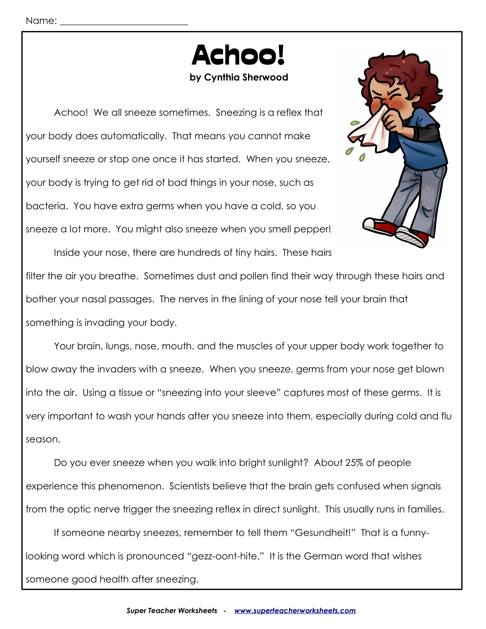Achoo!

## **by Cynthia Sherwood**

Achoo! We all sneeze sometimes. Sneezing is a reflex that your body does automatically. That means you cannot make yourself sneeze or stop one once it has started. When you sneeze, your body is trying to get rid of bad things in your nose, such as bacteria. You have extra germs when you have a cold, so you sneeze a lot more. You might also sneeze when you smell pepper!

Inside your nose, there are hundreds of tiny hairs. These hairs



filter the air you breathe. Sometimes dust and pollen find their way through these hairs and bother your nasal passages. The nerves in the lining of your nose tell your brain that something is invading your body.

Your brain, lungs, nose, mouth, and the muscles of your upper body work together to blow away the invaders with a sneeze. When you sneeze, germs from your nose get blown into the air. Using a tissue or "sneezing into your sleeve" captures most of these germs. It is very important to wash your hands after you sneeze into them, especially during cold and flu season.

Do you ever sneeze when you walk into bright sunlight? About 25% of people experience this phenomenon. Scientists believe that the brain gets confused when signals from the optic nerve trigger the sneezing reflex in direct sunlight. This usually runs in families.

If someone nearby sneezes, remember to tell them "Gesundheit!" That is a funnylooking word which is pronounced "gezz-oont-hite." It is the German word that wishes someone good health after sneezing.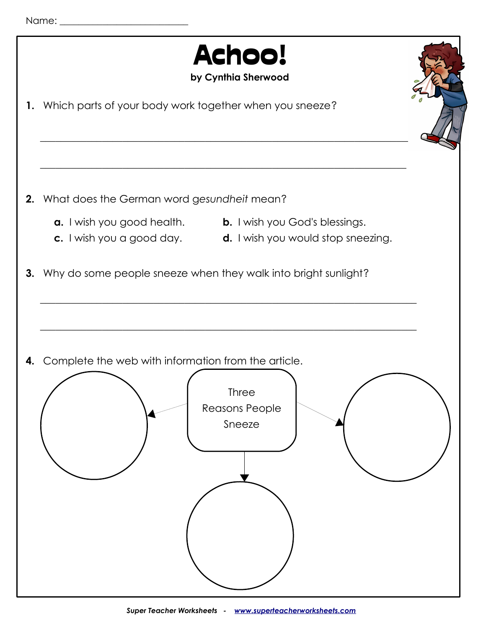| Name: |  |  |
|-------|--|--|
|       |  |  |

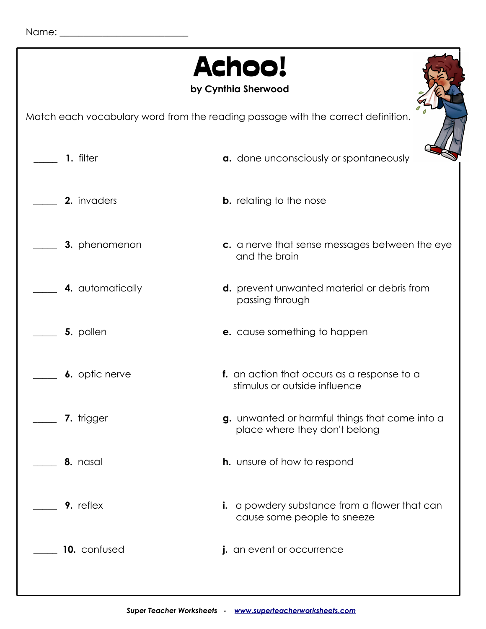| <b>Achoo!</b><br>by Cynthia Sherwood                                             |                                                                                 |  |  |  |
|----------------------------------------------------------------------------------|---------------------------------------------------------------------------------|--|--|--|
| Match each vocabulary word from the reading passage with the correct definition. |                                                                                 |  |  |  |
| 1. filter                                                                        | a. done unconsciously or spontaneously                                          |  |  |  |
| 2. invaders                                                                      | <b>b.</b> relating to the nose                                                  |  |  |  |
| 3. phenomenon                                                                    | c. a nerve that sense messages between the eye<br>and the brain                 |  |  |  |
| 4. automatically                                                                 | d. prevent unwanted material or debris from<br>passing through                  |  |  |  |
| 5. pollen                                                                        | <b>e.</b> cause something to happen                                             |  |  |  |
| 6. optic nerve                                                                   | f. an action that occurs as a response to a<br>stimulus or outside influence    |  |  |  |
| 7. trigger                                                                       | g. unwanted or harmful things that come into a<br>place where they don't belong |  |  |  |
| 8. nasal                                                                         | <b>h.</b> unsure of how to respond                                              |  |  |  |
| 9. reflex                                                                        | i. a powdery substance from a flower that can<br>cause some people to sneeze    |  |  |  |
| 10. confused                                                                     | <i>i.</i> an event or occurrence                                                |  |  |  |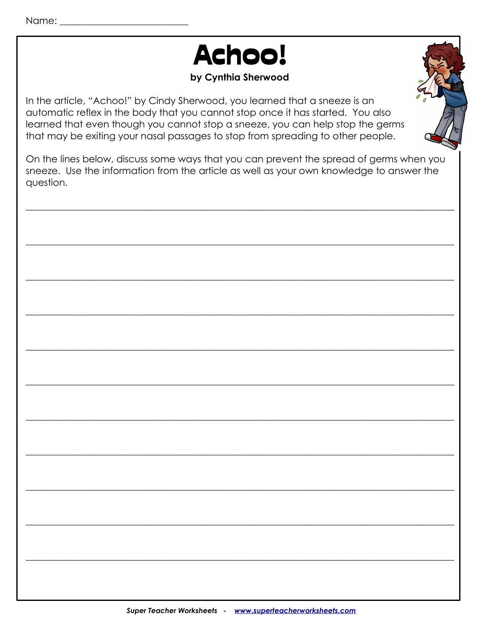

## **by Cynthia Sherwood**

In the article, "Achoo!" by Cindy Sherwood, you learned that a sneeze is an automatic reflex in the body that you cannot stop once it has started. You also learned that even though you cannot stop a sneeze, you can help stop the germs that may be exiting your nasal passages to stop from spreading to other people.

On the lines below, discuss some ways that you can prevent the spread of germs when you sneeze. Use the information from the article as well as your own knowledge to answer the question.

 $\_$  , and the set of the set of the set of the set of the set of the set of the set of the set of the set of the set of the set of the set of the set of the set of the set of the set of the set of the set of the set of th

 $\_$  , and the set of the set of the set of the set of the set of the set of the set of the set of the set of the set of the set of the set of the set of the set of the set of the set of the set of the set of the set of th

 $\_$  , and the set of the set of the set of the set of the set of the set of the set of the set of the set of the set of the set of the set of the set of the set of the set of the set of the set of the set of the set of th

 $\_$  , and the set of the set of the set of the set of the set of the set of the set of the set of the set of the set of the set of the set of the set of the set of the set of the set of the set of the set of the set of th

 $\_$  , and the set of the set of the set of the set of the set of the set of the set of the set of the set of the set of the set of the set of the set of the set of the set of the set of the set of the set of the set of th

 $\_$  , and the set of the set of the set of the set of the set of the set of the set of the set of the set of the set of the set of the set of the set of the set of the set of the set of the set of the set of the set of th

 $\_$  , and the set of the set of the set of the set of the set of the set of the set of the set of the set of the set of the set of the set of the set of the set of the set of the set of the set of the set of the set of th

 $\_$  , and the set of the set of the set of the set of the set of the set of the set of the set of the set of the set of the set of the set of the set of the set of the set of the set of the set of the set of the set of th

 $\_$  , and the set of the set of the set of the set of the set of the set of the set of the set of the set of the set of the set of the set of the set of the set of the set of the set of the set of the set of the set of th

 $\_$  , and the set of the set of the set of the set of the set of the set of the set of the set of the set of the set of the set of the set of the set of the set of the set of the set of the set of the set of the set of th

 $\_$  , and the set of the set of the set of the set of the set of the set of the set of the set of the set of the set of the set of the set of the set of the set of the set of the set of the set of the set of the set of th

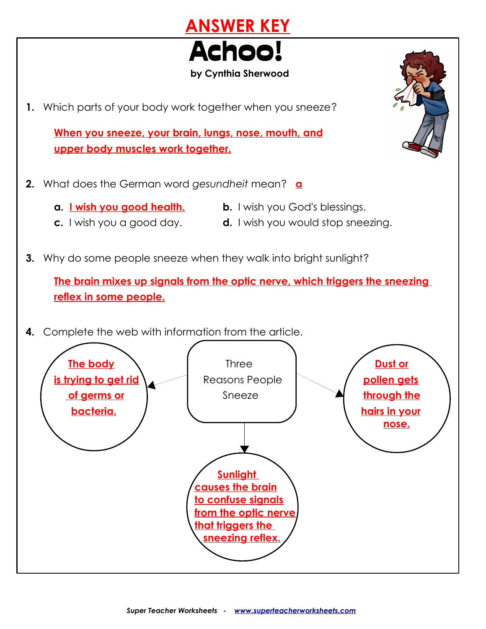